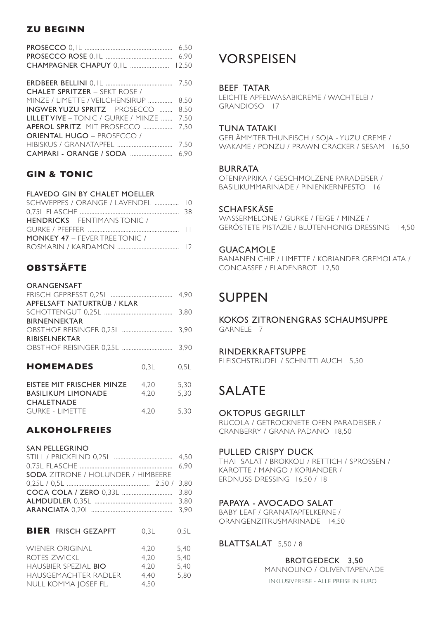# **ZU BEGINN**

|                                      | 6.50  |
|--------------------------------------|-------|
|                                      | 6,90  |
| CHAMPAGNER CHAPUY 0, IL              | 12,50 |
|                                      |       |
|                                      | 7.50  |
| <b>CHALET SPRITZER - SEKT ROSE /</b> |       |
| MINZE / LIMETTE / VEILCHENSIRUP      | 8.50  |
| <b>INGWER YUZU SPRITZ - PROSECCO</b> | 8,50  |
| LILLET VIVE - TONIC / GURKE / MINZE  | 7,50  |
| <b>APEROL SPRITZ MIT PROSECCO </b>   | 7.50  |
| <b>ORIENTAL HUGO - PROSECCO /</b>    |       |
|                                      | 7.50  |
| CAMPARI - ORANGE / SODA              | 6.90  |

# **GIN & TONIC**

## FLAVEDO GIN BY CHALET MOELLER

| SCHWEPPES / ORANGE / LAVENDEL  10     |  |
|---------------------------------------|--|
|                                       |  |
| <b>HENDRICKS</b> – FENTIMANS TONIC /  |  |
|                                       |  |
| <b>MONKEY 47 - FEVER TREE TONIC /</b> |  |
|                                       |  |
|                                       |  |

# **OBSTSÄFTE**

| ORANGENSAFT                |      |      |
|----------------------------|------|------|
|                            |      |      |
| APFELSAFT NATURTRÜB / KLAR |      |      |
|                            |      | 3,80 |
| <b>BIRNENNEKTAR</b>        |      |      |
|                            |      | 3.90 |
| <b>RIBISELNEKTAR</b>       |      |      |
|                            |      | 3.90 |
|                            |      |      |
| <b>HOMEMADES</b>           | 0.3L | 0.5L |
|                            |      |      |
| EISTEE MIT FRISCHER MINZE  | 4.20 | 5,30 |
| <b>BASILIKUM LIMONADE</b>  | 4,20 | 5,30 |
| <b>CHALETNADE</b>          |      |      |
| <b>GURKE - LIMETTE</b>     | 4.20 | 5.30 |
|                            |      |      |

# **ALKOHOLFREIES**

| <b>SAN PELLEGRINO</b> |  |  |  |
|-----------------------|--|--|--|
|-----------------------|--|--|--|

| <b>SODA</b> ZITRONE / HOLUNDER / HIMBEERE |  |
|-------------------------------------------|--|
|                                           |  |
|                                           |  |
|                                           |  |
|                                           |  |
|                                           |  |

| <b>WIENER ORIGINAL</b><br>4.20<br>ROTES ZWICKL<br>4,20<br>HAUSBIER SPEZIAL BIO<br>4.20<br>HAUSGEMACHTER RADLER<br>4.40<br>NULL KOMMA JOSEF FL.<br>4,50 | 5.40<br>5.40<br>5.40<br>5.80 |
|--------------------------------------------------------------------------------------------------------------------------------------------------------|------------------------------|

# VORSPEISEN

## BEEF TATAR

LEICHTE APFELWASABICREME / WACHTELEI / GRANDIOSO 17

## TUNA TATAKI

GEFLÄMMTER THUNFISCH / SOJA - YUZU CREME / WAKAME / PONZU / PRAWN CRACKER / SESAM 16,50

## BURRATA

OFENPAPRIKA / GESCHMOLZENE PARADEISER / BASILIKUMMARINADE / PINIENKERNPESTO 16

## **SCHAFSKÄSE**

WASSERMELONE / GURKE / FEIGE / MINZE / GERÖSTETE PISTAZIE / BLÜTENHONIG DRESSING 14,50

## GUACAMOLE

BANANEN CHIP / LIMETTE / KORIANDER GREMOLATA / CONCASSEE / FLADENBROT 12,50

# SUPPEN

## KOKOS ZITRONENGRAS SCHAUMSUPPE GARNELE 7

## RINDERKRAFTSUPPE

FLEISCHSTRUDEL / SCHNITTLAUCH 5,50

# SALATE

## OKTOPUS GEGRILLT

RUCOLA / GETROCKNETE OFEN PARADEISER / CRANBERRY / GRANA PADANO 18,50

## PULLED CRISPY DUCK

THAI SALAT / BROKKOLI / RETTICH / SPROSSEN / KAROTTE / MANGO / KORIANDER / ERDNUSS DRESSING 16,50 / 18

# PAPAYA - AVOCADO SALAT

BABY LEAF / GRANATAPFELKERNE / ORANGENZITRUSMARINADE 14,50

# BLATTSALAT 5,50 / 8

INKLUSIVPREISE - ALLE PREISE IN EURO BROTGEDECK 3,50 MANNOLINO / OLIVENTAPENADE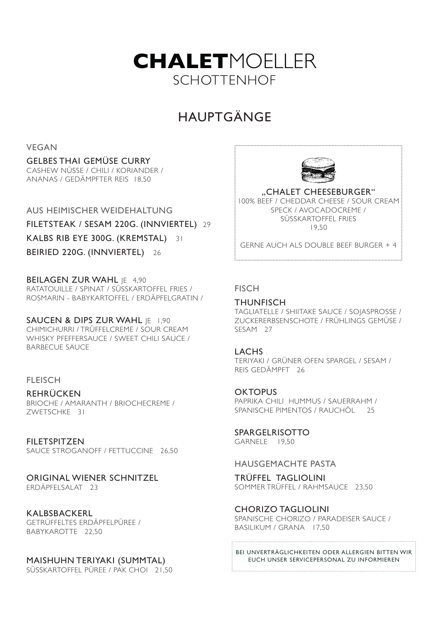

# HAUPTGÄNGE

VEGAN

## GELBES THAI GEMÜSE CURRY

CASHEW NÜSSE / CHILI / KORIANDER / ANANAS / GEDÄMPFTER REIS 18,50

AUS HEIMISCHER WEIDEHALTUNG FILETSTEAK / SESAM 220G. (INNVIERTEL) 29 KALBS RIB EYE 300G. (KREMSTAL) 31

BEIRIED 220G. (INNVIERTEL) 26

BEILAGEN ZUR WAHL IE 4,90 RATATOUILLE / SPINAT / SÜSSKARTOFFEL FRIES / ROSMARIN - BABYKARTOFFEL / ERDÄPFELGRATIN /

SAUCEN & DIPS ZUR WAHL IE 1,90 CHIMICHURRI / TRÜFFELCREME / SOUR CREAM WHISKY PFEFFERSAUCE / SWEET CHILI SAUCE / BARBECUE SAUCE

## **FLEISCH**

REHRÜCKEN BRIOCHE / AMARANTH / BRIOCHECREME / ZWETSCHKE 31

FILETSPITZEN SAUCE STROGANOFF / FETTUCCINE 26,50

# ORIGINAL WIENER SCHNITZEL

ERDÄPFELSALAT 23

# KALBSBACKERL

GETRÜFFELTES ERDÄPFELPÜREE / BABYKAROTTE 22,50

# MAISHUHN TERIYAKI (SUMMTAL)

SÜSSKARTOFFEL PÜREE / PAK CHOI 21,50



"CHALET CHEESEBURGER" 100% BEEF / CHEDDAR CHEESE / SOUR CREAM SPECK / AVOCADOCREME / SÜSSKARTOFFEL FRIES 19,50

GERNE AUCH ALS DOUBLE BEEF BURGER + 4 

# **FISCH**

# **THUNFISCH**

TAGLIATELLE / SHIITAKE SAUCE / SOJASPROSSE / ZUCKERERBSENSCHOTE / FRÜHLINGS GEMÜSE / SESAM 27

# LACHS

TERIYAKI / GRÜNER OFEN SPARGEL / SESAM / REIS GEDÄMPFT 26

**OKTOPUS** 

PAPRIKA CHILI HUMMUS / SAUERRAHM / SPANISCHE PIMENTOS / RAUCHÖL 25

SPARGELRISOTTO

GARNELE 19,50

HAUSGEMACHTE PASTA

TRÜFFEL TAGLIOLINI SOMMER TRÜFFEL / RAHMSAUCE 23,50

CHORIZO TAGLIOLINI

SPANISCHE CHORIZO / PARADEISER SAUCE / BASILIKUM / GRANA 17,50

BEI UNVERTRÄGLICHKEITEN ODER ALLERGIEN BITTEN WIR EUCH UNSER SERVICEPERSONAL ZU INFORMIEREN